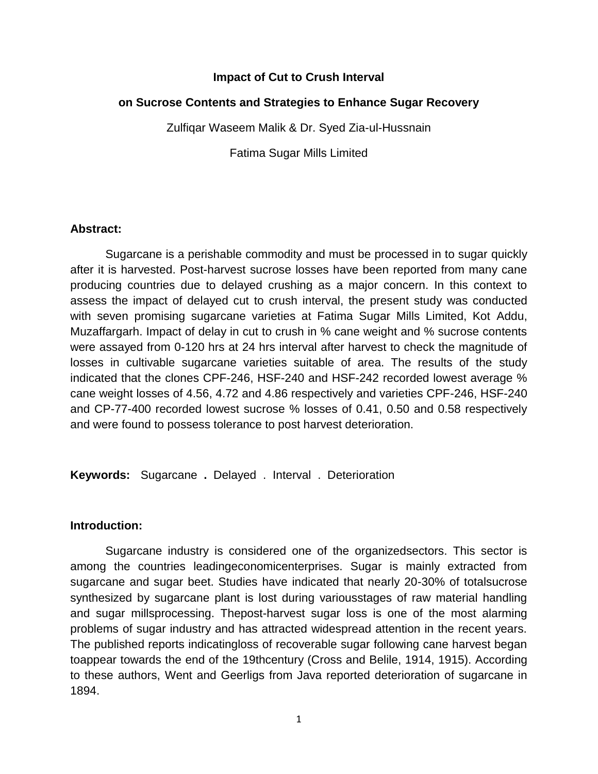### **Impact of Cut to Crush Interval**

### **on Sucrose Contents and Strategies to Enhance Sugar Recovery**

Zulfiqar Waseem Malik & Dr. Syed Zia-ul-Hussnain

Fatima Sugar Mills Limited

#### **Abstract:**

Sugarcane is a perishable commodity and must be processed in to sugar quickly after it is harvested. Post-harvest sucrose losses have been reported from many cane producing countries due to delayed crushing as a major concern. In this context to assess the impact of delayed cut to crush interval, the present study was conducted with seven promising sugarcane varieties at Fatima Sugar Mills Limited, Kot Addu, Muzaffargarh. Impact of delay in cut to crush in % cane weight and % sucrose contents were assayed from 0-120 hrs at 24 hrs interval after harvest to check the magnitude of losses in cultivable sugarcane varieties suitable of area. The results of the study indicated that the clones CPF-246, HSF-240 and HSF-242 recorded lowest average % cane weight losses of 4.56, 4.72 and 4.86 respectively and varieties CPF-246, HSF-240 and CP-77-400 recorded lowest sucrose % losses of 0.41, 0.50 and 0.58 respectively and were found to possess tolerance to post harvest deterioration.

**Keywords:** Sugarcane **.** Delayed . Interval . Deterioration

#### **Introduction:**

Sugarcane industry is considered one of the organizedsectors. This sector is among the countries leadingeconomicenterprises. Sugar is mainly extracted from sugarcane and sugar beet. Studies have indicated that nearly 20-30% of totalsucrose synthesized by sugarcane plant is lost during variousstages of raw material handling and sugar millsprocessing. Thepost-harvest sugar loss is one of the most alarming problems of sugar industry and has attracted widespread attention in the recent years. The published reports indicatingloss of recoverable sugar following cane harvest began toappear towards the end of the 19thcentury (Cross and Belile, 1914, 1915). According to these authors, Went and Geerligs from Java reported deterioration of sugarcane in 1894.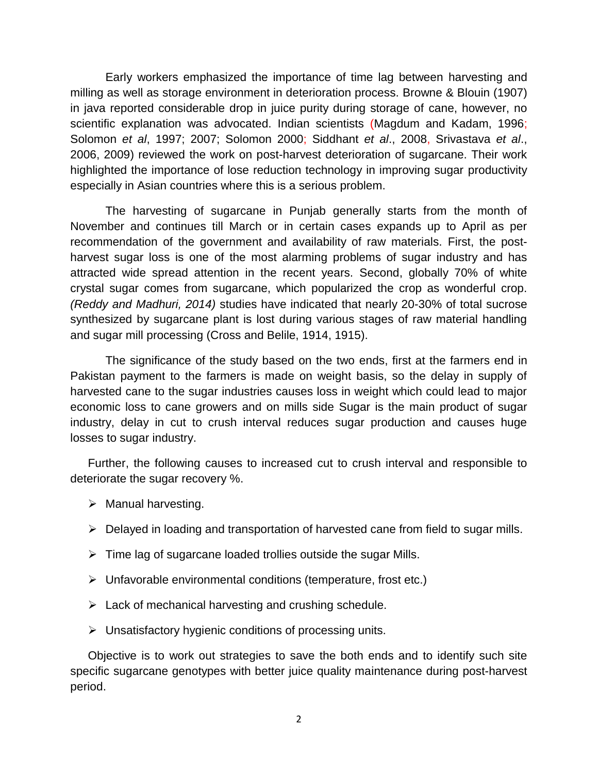Early workers emphasized the importance of time lag between harvesting and milling as well as storage environment in deterioration process. Browne & Blouin (1907) in java reported considerable drop in juice purity during storage of cane, however, no scientific explanation was advocated. Indian scientists (Magdum and Kadam, 1996; Solomon *et al*, 1997; 2007; Solomon 2000; Siddhant *et al*., 2008, Srivastava *et al*., 2006, 2009) reviewed the work on post-harvest deterioration of sugarcane. Their work highlighted the importance of lose reduction technology in improving sugar productivity especially in Asian countries where this is a serious problem.

The harvesting of sugarcane in Punjab generally starts from the month of November and continues till March or in certain cases expands up to April as per recommendation of the government and availability of raw materials. First, the postharvest sugar loss is one of the most alarming problems of sugar industry and has attracted wide spread attention in the recent years. Second, globally 70% of white crystal sugar comes from sugarcane, which popularized the crop as wonderful crop. *(Reddy and Madhuri, 2014)* studies have indicated that nearly 20-30% of total sucrose synthesized by sugarcane plant is lost during various stages of raw material handling and sugar mill processing (Cross and Belile, 1914, 1915).

The significance of the study based on the two ends, first at the farmers end in Pakistan payment to the farmers is made on weight basis, so the delay in supply of harvested cane to the sugar industries causes loss in weight which could lead to major economic loss to cane growers and on mills side Sugar is the main product of sugar industry, delay in cut to crush interval reduces sugar production and causes huge losses to sugar industry.

Further, the following causes to increased cut to crush interval and responsible to deteriorate the sugar recovery %.

- $\triangleright$  Manual harvesting.
- $\triangleright$  Delayed in loading and transportation of harvested cane from field to sugar mills.
- $\triangleright$  Time lag of sugarcane loaded trollies outside the sugar Mills.
- $\triangleright$  Unfavorable environmental conditions (temperature, frost etc.)
- $\triangleright$  Lack of mechanical harvesting and crushing schedule.
- $\triangleright$  Unsatisfactory hygienic conditions of processing units.

Objective is to work out strategies to save the both ends and to identify such site specific sugarcane genotypes with better juice quality maintenance during post-harvest period.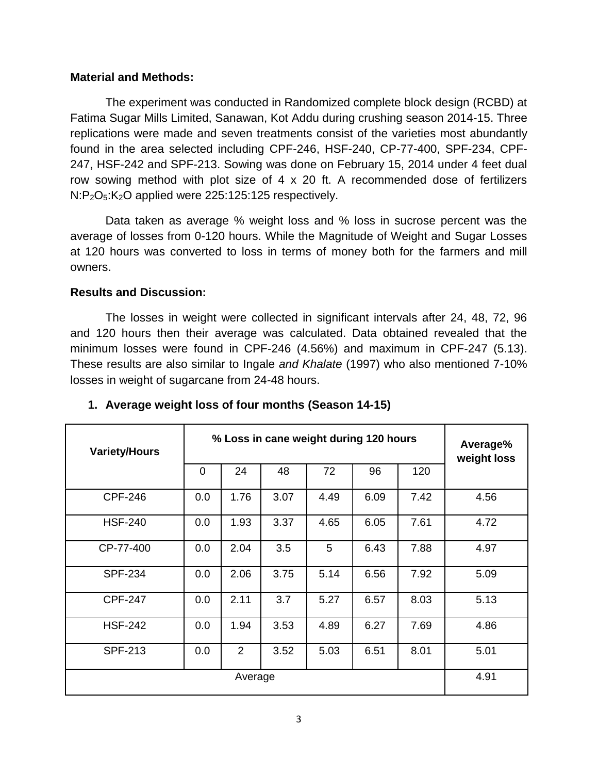### **Material and Methods:**

The experiment was conducted in Randomized complete block design (RCBD) at Fatima Sugar Mills Limited, Sanawan, Kot Addu during crushing season 2014-15. Three replications were made and seven treatments consist of the varieties most abundantly found in the area selected including CPF-246, HSF-240, CP-77-400, SPF-234, CPF-247, HSF-242 and SPF-213. Sowing was done on February 15, 2014 under 4 feet dual row sowing method with plot size of 4 x 20 ft. A recommended dose of fertilizers N:P<sub>2</sub>O<sub>5</sub>:K<sub>2</sub>O applied were 225:125:125 respectively.

Data taken as average % weight loss and % loss in sucrose percent was the average of losses from 0-120 hours. While the Magnitude of Weight and Sugar Losses at 120 hours was converted to loss in terms of money both for the farmers and mill owners.

### **Results and Discussion:**

The losses in weight were collected in significant intervals after 24, 48, 72, 96 and 120 hours then their average was calculated. Data obtained revealed that the minimum losses were found in CPF-246 (4.56%) and maximum in CPF-247 (5.13). These results are also similar to Ingale *and Khalate* (1997) who also mentioned 7-10% losses in weight of sugarcane from 24-48 hours.

| <b>Variety/Hours</b> | % Loss in cane weight during 120 hours |                |      |      |      |      | Average%<br>weight loss |  |
|----------------------|----------------------------------------|----------------|------|------|------|------|-------------------------|--|
|                      | 0                                      | 24             | 48   | 72   | 96   | 120  |                         |  |
| <b>CPF-246</b>       | 0.0                                    | 1.76           | 3.07 | 4.49 | 6.09 | 7.42 | 4.56                    |  |
| <b>HSF-240</b>       | 0.0                                    | 1.93           | 3.37 | 4.65 | 6.05 | 7.61 | 4.72                    |  |
| CP-77-400            | 0.0                                    | 2.04           | 3.5  | 5    | 6.43 | 7.88 | 4.97                    |  |
| <b>SPF-234</b>       | 0.0                                    | 2.06           | 3.75 | 5.14 | 6.56 | 7.92 | 5.09                    |  |
| <b>CPF-247</b>       | 0.0                                    | 2.11           | 3.7  | 5.27 | 6.57 | 8.03 | 5.13                    |  |
| <b>HSF-242</b>       | 0.0                                    | 1.94           | 3.53 | 4.89 | 6.27 | 7.69 | 4.86                    |  |
| <b>SPF-213</b>       | 0.0                                    | $\overline{2}$ | 3.52 | 5.03 | 6.51 | 8.01 | 5.01                    |  |
| Average              |                                        |                |      |      |      |      | 4.91                    |  |

# **1. Average weight loss of four months (Season 14-15)**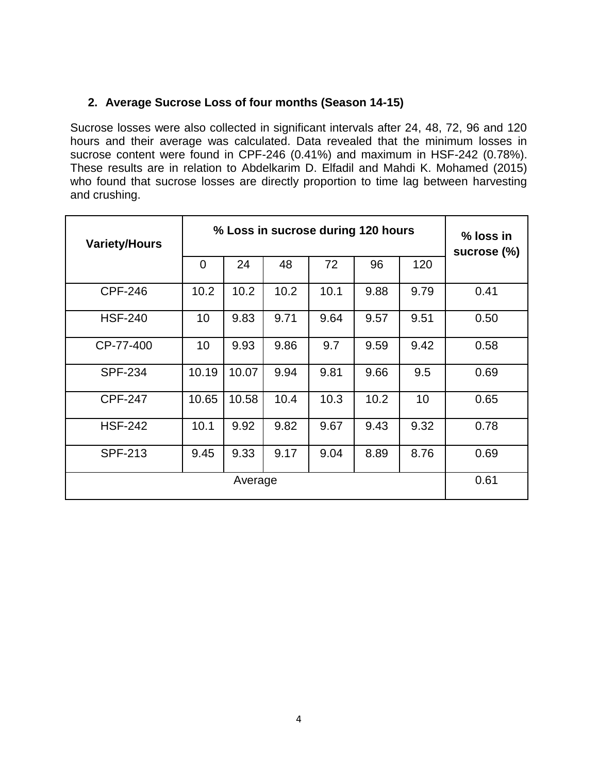# **2. Average Sucrose Loss of four months (Season 14-15)**

Sucrose losses were also collected in significant intervals after 24, 48, 72, 96 and 120 hours and their average was calculated. Data revealed that the minimum losses in sucrose content were found in CPF-246 (0.41%) and maximum in HSF-242 (0.78%). These results are in relation to Abdelkarim D. Elfadil and Mahdi K. Mohamed (2015) who found that sucrose losses are directly proportion to time lag between harvesting and crushing.

| <b>Variety/Hours</b> | % Loss in sucrose during 120 hours |       |      |      |      |      | % loss in<br>sucrose (%) |  |
|----------------------|------------------------------------|-------|------|------|------|------|--------------------------|--|
|                      | 0                                  | 24    | 48   | 72   | 96   | 120  |                          |  |
| <b>CPF-246</b>       | 10.2                               | 10.2  | 10.2 | 10.1 | 9.88 | 9.79 | 0.41                     |  |
| <b>HSF-240</b>       | 10                                 | 9.83  | 9.71 | 9.64 | 9.57 | 9.51 | 0.50                     |  |
| CP-77-400            | 10                                 | 9.93  | 9.86 | 9.7  | 9.59 | 9.42 | 0.58                     |  |
| <b>SPF-234</b>       | 10.19                              | 10.07 | 9.94 | 9.81 | 9.66 | 9.5  | 0.69                     |  |
| <b>CPF-247</b>       | 10.65                              | 10.58 | 10.4 | 10.3 | 10.2 | 10   | 0.65                     |  |
| <b>HSF-242</b>       | 10.1                               | 9.92  | 9.82 | 9.67 | 9.43 | 9.32 | 0.78                     |  |
| <b>SPF-213</b>       | 9.45                               | 9.33  | 9.17 | 9.04 | 8.89 | 8.76 | 0.69                     |  |
|                      | 0.61                               |       |      |      |      |      |                          |  |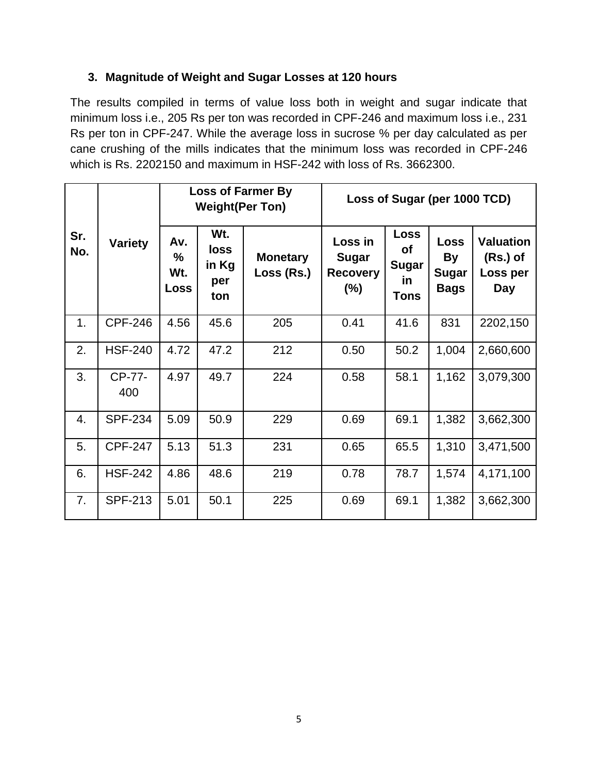# **3. Magnitude of Weight and Sugar Losses at 120 hours**

The results compiled in terms of value loss both in weight and sugar indicate that minimum loss i.e., 205 Rs per ton was recorded in CPF-246 and maximum loss i.e., 231 Rs per ton in CPF-247. While the average loss in sucrose % per day calculated as per cane crushing of the mills indicates that the minimum loss was recorded in CPF-246 which is Rs. 2202150 and maximum in HSF-242 with loss of Rs. 3662300.

|            | <b>Variety</b>       |                                | <b>Weight(Per Ton)</b>                    | <b>Loss of Farmer By</b>      | Loss of Sugar (per 1000 TCD)                         |                                                               |                                                  |                                                   |  |
|------------|----------------------|--------------------------------|-------------------------------------------|-------------------------------|------------------------------------------------------|---------------------------------------------------------------|--------------------------------------------------|---------------------------------------------------|--|
| Sr.<br>No. |                      | Av.<br>%<br>Wt.<br><b>Loss</b> | Wt.<br><b>loss</b><br>in Kg<br>per<br>ton | <b>Monetary</b><br>Loss (Rs.) | Loss in<br><b>Sugar</b><br><b>Recovery</b><br>$(\%)$ | Loss<br><b>of</b><br><b>Sugar</b><br><u>in</u><br><b>Tons</b> | Loss<br><b>By</b><br><b>Sugar</b><br><b>Bags</b> | <b>Valuation</b><br>$(Rs.)$ of<br>Loss per<br>Day |  |
| 1.         | <b>CPF-246</b>       | 4.56                           | 45.6                                      | 205                           | 0.41                                                 | 41.6                                                          | 831                                              | 2202,150                                          |  |
| 2.         | <b>HSF-240</b>       | 4.72                           | 47.2                                      | 212                           | 0.50                                                 | 50.2                                                          | 1,004                                            | 2,660,600                                         |  |
| 3.         | <b>CP-77-</b><br>400 | 4.97                           | 49.7                                      | 224                           | 0.58                                                 | 58.1                                                          | 1,162                                            | 3,079,300                                         |  |
| 4.         | <b>SPF-234</b>       | 5.09                           | 50.9                                      | 229                           | 0.69                                                 | 69.1                                                          | 1,382                                            | 3,662,300                                         |  |
| 5.         | <b>CPF-247</b>       | 5.13                           | 51.3                                      | 231                           | 0.65                                                 | 65.5                                                          | 1,310                                            | 3,471,500                                         |  |
| 6.         | <b>HSF-242</b>       | 4.86                           | 48.6                                      | 219                           | 0.78                                                 | 78.7                                                          | 1,574                                            | 4,171,100                                         |  |
| 7.         | <b>SPF-213</b>       | 5.01                           | 50.1                                      | 225                           | 0.69                                                 | 69.1                                                          | 1,382                                            | 3,662,300                                         |  |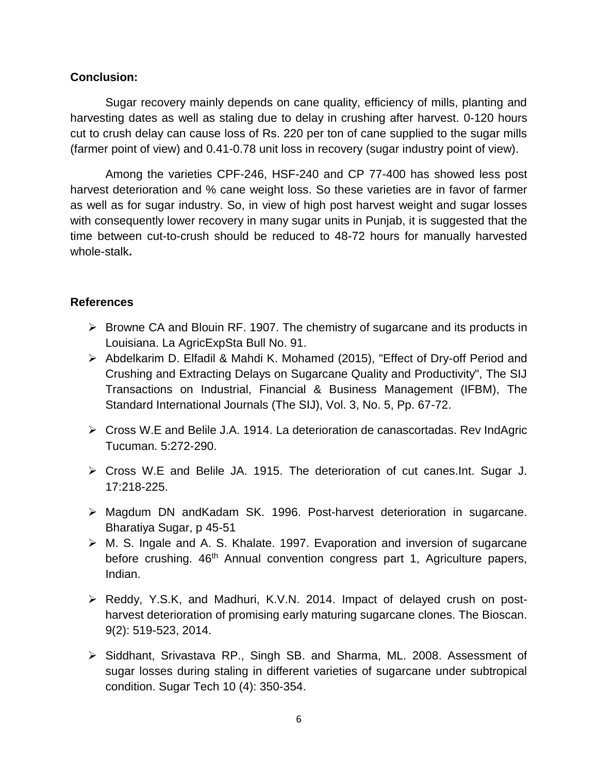## **Conclusion:**

Sugar recovery mainly depends on cane quality, efficiency of mills, planting and harvesting dates as well as staling due to delay in crushing after harvest. 0-120 hours cut to crush delay can cause loss of Rs. 220 per ton of cane supplied to the sugar mills (farmer point of view) and 0.41-0.78 unit loss in recovery (sugar industry point of view).

Among the varieties CPF-246, HSF-240 and CP 77-400 has showed less post harvest deterioration and % cane weight loss. So these varieties are in favor of farmer as well as for sugar industry. So, in view of high post harvest weight and sugar losses with consequently lower recovery in many sugar units in Punjab, it is suggested that the time between cut-to-crush should be reduced to 48-72 hours for manually harvested whole-stalk**.**

## **References**

- $\triangleright$  Browne CA and Blouin RF. 1907. The chemistry of sugarcane and its products in Louisiana. La AgricExpSta Bull No. 91.
- Abdelkarim D. Elfadil & Mahdi K. Mohamed (2015), "Effect of Dry-off Period and Crushing and Extracting Delays on Sugarcane Quality and Productivity", The SIJ Transactions on Industrial, Financial & Business Management (IFBM), The Standard International Journals (The SIJ), Vol. 3, No. 5, Pp. 67-72.
- Cross W.E and Belile J.A. 1914. La deterioration de canascortadas. Rev IndAgric Tucuman. 5:272-290.
- Cross W.E and Belile JA. 1915. The deterioration of cut canes.Int. Sugar J. 17:218-225.
- Magdum DN andKadam SK. 1996. Post-harvest deterioration in sugarcane. Bharatiya Sugar, p 45-51
- $\triangleright$  M. S. Ingale and A. S. Khalate. 1997. Evaporation and inversion of sugarcane before crushing. 46<sup>th</sup> Annual convention congress part 1, Agriculture papers, Indian.
- Reddy, Y.S.K, and Madhuri, K.V.N. 2014. Impact of delayed crush on postharvest deterioration of promising early maturing sugarcane clones. The Bioscan. 9(2): 519-523, 2014.
- > Siddhant, Srivastava RP., Singh SB. and Sharma, ML. 2008. Assessment of sugar losses during staling in different varieties of sugarcane under subtropical condition. Sugar Tech 10 (4): 350-354.